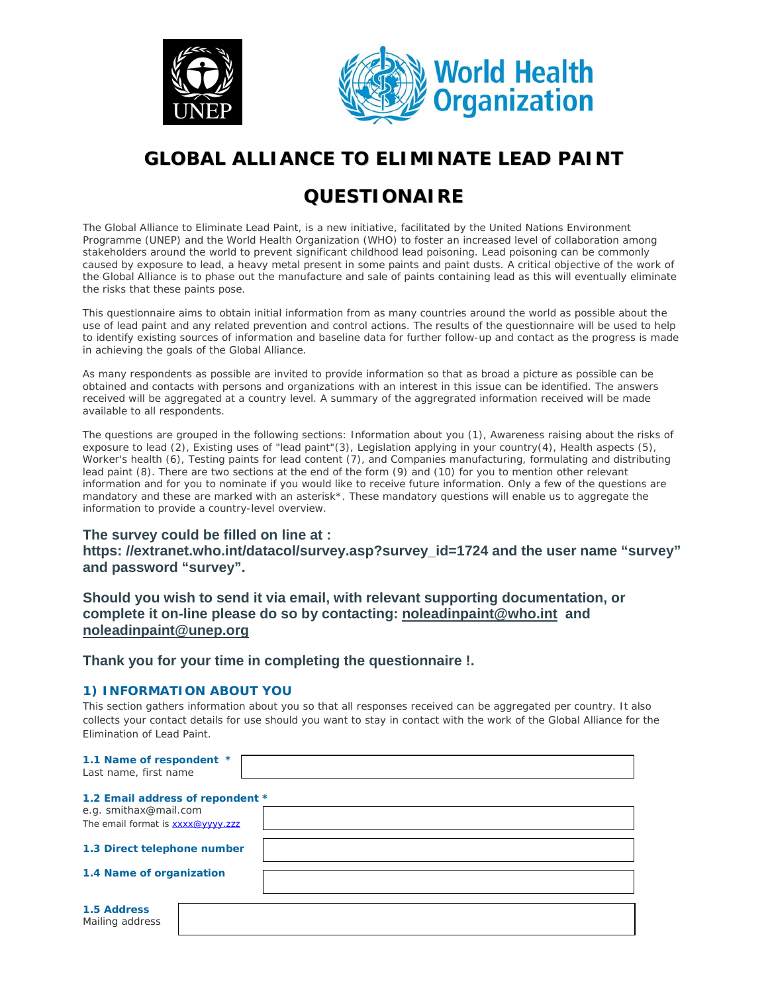



# **GLOBAL ALLIANCE TO ELIMINATE LEAD PAINT**

## **QUESTIONAIRE**

The Global Alliance to Eliminate Lead Paint, is a new initiative, facilitated by the United Nations Environment Programme (UNEP) and the World Health Organization (WHO) to foster an increased level of collaboration among stakeholders around the world to prevent significant childhood lead poisoning. Lead poisoning can be commonly caused by exposure to lead, a heavy metal present in some paints and paint dusts. A critical objective of the work of the Global Alliance is to phase out the manufacture and sale of paints containing lead as this will eventually eliminate the risks that these paints pose.

This questionnaire aims to obtain initial information from as many countries around the world as possible about the use of lead paint and any related prevention and control actions. The results of the questionnaire will be used to help to identify existing sources of information and baseline data for further follow-up and contact as the progress is made in achieving the goals of the Global Alliance.

As many respondents as possible are invited to provide information so that as broad a picture as possible can be obtained and contacts with persons and organizations with an interest in this issue can be identified. The answers received will be aggregated at a country level. A summary of the aggregrated information received will be made available to all respondents.

The questions are grouped in the following sections: Information about you (1), Awareness raising about the risks of exposure to lead (2), Existing uses of "lead paint"(3), Legislation applying in your country(4), Health aspects (5), Worker's health (6), Testing paints for lead content (7), and Companies manufacturing, formulating and distributing lead paint (8). There are two sections at the end of the form (9) and (10) for you to mention other relevant information and for you to nominate if you would like to receive future information. Only a few of the questions are mandatory and these are marked with an asterisk\*. These mandatory questions will enable us to aggregate the information to provide a country-level overview.

## **The survey could be filled on line at : https: //extranet.who.int/datacol/survey.asp?survey\_id=1724 and the user name "survey" and password "survey".**

**Should you wish to send it via email, with relevant supporting documentation, or complete it on-line please do so by contacting: noleadinpaint@who.int and noleadinpaint@unep.org** 

**Thank you for your time in completing the questionnaire !.** 

## *1) INFORMATION ABOUT YOU*

This section gathers information about you so that all responses received can be aggregated per country. It also collects your contact details for use should you want to stay in contact with the work of the Global Alliance for the Elimination of Lead Paint.

| 1.1 Name of respondent *<br>Last name, first name          |  |
|------------------------------------------------------------|--|
| 1.2 Email address of repondent *                           |  |
| e.g. smithax@mail.com<br>The email format is xxxx@yyyy.zzz |  |
| 1.3 Direct telephone number                                |  |
| 1.4 Name of organization                                   |  |
|                                                            |  |
| 1.5 Address<br>Mailing address                             |  |
|                                                            |  |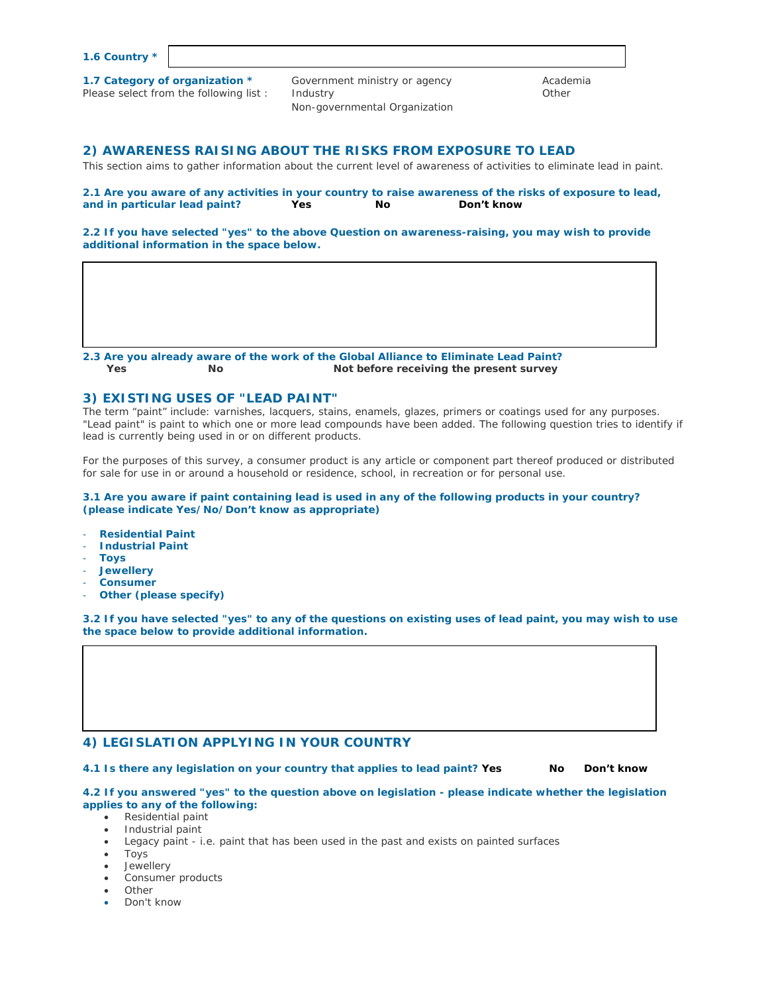| 1.6 Country * |  |
|---------------|--|
|---------------|--|

| 1.7 Category of organization *<br>Please select from the following list: | Government ministry or agency<br>Industry<br>Non-governmental Organization | Academia<br>Other |
|--------------------------------------------------------------------------|----------------------------------------------------------------------------|-------------------|
|                                                                          |                                                                            |                   |

#### *2) AWARENESS RAISING ABOUT THE RISKS FROM EXPOSURE TO LEAD*

This section aims to gather information about the current level of awareness of activities to eliminate lead in paint.

**2.1 Are you aware of any activities in your country to raise awareness of the risks of exposure to lead, and in particular lead paint? Yes No Don't know**

**2.2 If you have selected "yes" to the above Question on awareness-raising, you may wish to provide additional information in the space below.** 

**2.3 Are you already aware of the work of the Global Alliance to Eliminate Lead Paint? Yes No Not before receiving the present survey** 

#### *3) EXISTING USES OF "LEAD PAINT"*

The term "paint" include: varnishes, lacquers, stains, enamels, glazes, primers or coatings used for any purposes. "Lead paint" is paint to which one or more lead compounds have been added. The following question tries to identify if lead is currently being used in or on different products.

For the purposes of this survey, a consumer product is any article or component part thereof produced or distributed for sale for use in or around a household or residence, school, in recreation or for personal use.

**3.1 Are you aware if paint containing lead is used in any of the following products in your country? (please indicate Yes/No/Don't know as appropriate)** 

- **Residential Paint**
- **Industrial Paint**
- **Toys**
- **Jewellery**
- **Consumer**
- **Other (please specify)**

**3.2 If you have selected "yes" to any of the questions on existing uses of lead paint, you may wish to use the space below to provide additional information.** 

#### *4) LEGISLATION APPLYING IN YOUR COUNTRY*

**4.1 Is there any legislation on your country that applies to lead paint? Yes No Don't know**

#### **4.2 If you answered "yes" to the question above on legislation - please indicate whether the legislation applies to any of the following:**

- Residential paint
- Industrial paint
- Legacy paint i.e. paint that has been used in the past and exists on painted surfaces
- Toys
- **Jewellery**
- Consumer products
- Other
- Don't know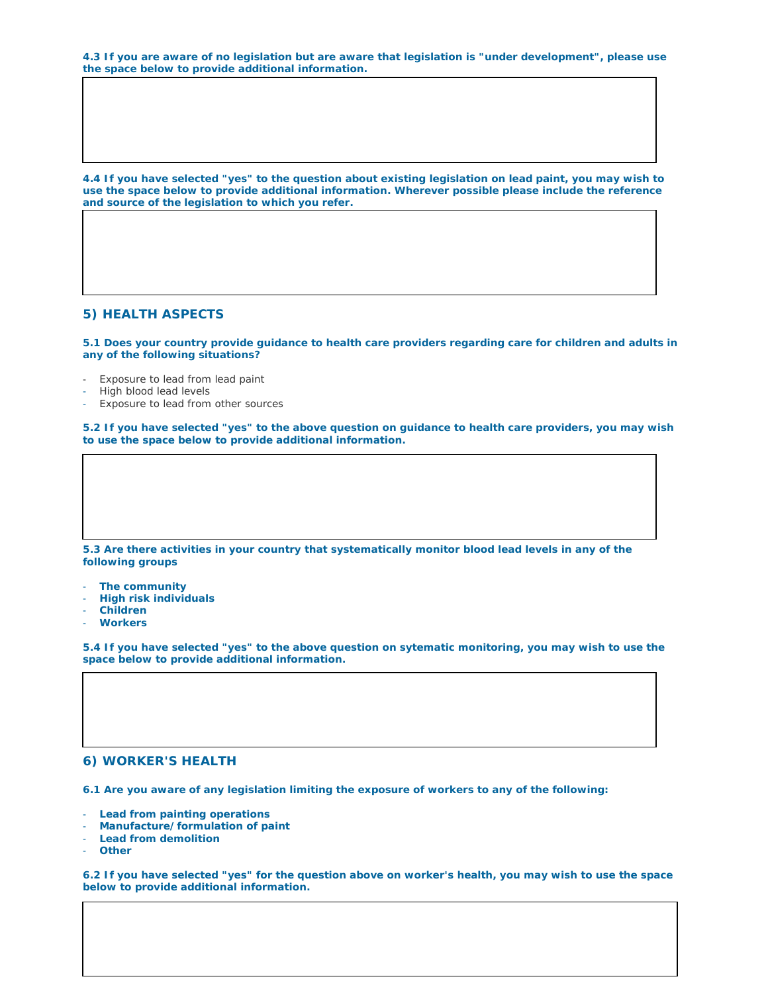**4.3 If you are aware of no legislation but are aware that legislation is "under development", please use the space below to provide additional information.** 

**4.4 If you have selected "yes" to the question about existing legislation on lead paint, you may wish to use the space below to provide additional information. Wherever possible please include the reference and source of the legislation to which you refer.** 

#### *5) HEALTH ASPECTS*

**5.1 Does your country provide guidance to health care providers regarding care for children and adults in any of the following situations?** 

- Exposure to lead from lead paint
- High blood lead levels
- Exposure to lead from other sources

**5.2 If you have selected "yes" to the above question on guidance to health care providers, you may wish to use the space below to provide additional information.** 

#### **5.3 Are there activities in your country that systematically monitor blood lead levels in any of the following groups**

- **The community**
- **High risk individuals**
- **Children**
- **Workers**

**5.4 If you have selected "yes" to the above question on sytematic monitoring, you may wish to use the space below to provide additional information.** 

#### *6) WORKER'S HEALTH*

**6.1 Are you aware of any legislation limiting the exposure of workers to any of the following:** 

- **Lead from painting operations**
- **Manufacture/formulation of paint**
- **Lead from demolition**
- **Other**

**6.2 If you have selected "yes" for the question above on worker's health, you may wish to use the space below to provide additional information.**